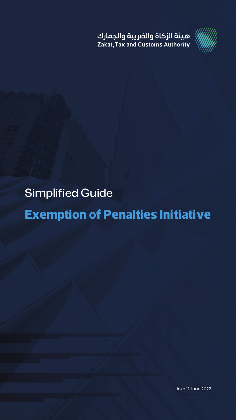ميئة الزكاة والضريبة والجمارك Zakat, Tax and Customs Authority

## Simplified Guide

### **Exemption of Penalties Initiative**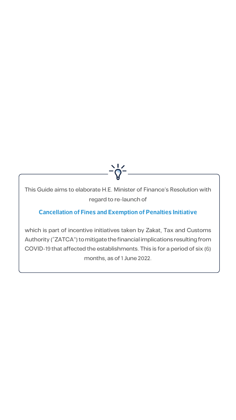

regard to re-launch of

#### **Cancellation of Fines and Exemption of Penalties Initiative**

which is part of incentive initiatives taken by Zakat, Tax and Customs Authority ("ZATCA") to mitigate the financial implications resulting from COVID-19 that affected the establishments. This is for a period of six (6) months, as of 1 June 2022.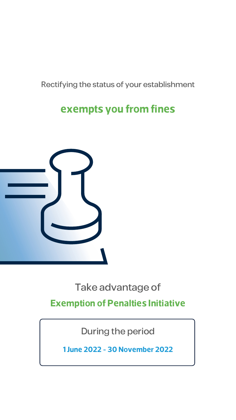### Rectifying the status of your establishment

### exempts you from fines



### Take advantage of **Exemption of Penalties Initiative**

During the period

**1 June 2022 - 30 November 2022**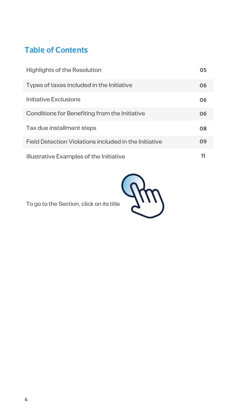### **Table of Contents**

| <b>Highlights of the Resolution</b>                          | 05 |
|--------------------------------------------------------------|----|
| Types of taxes included in the Initiative                    | 06 |
| <b>Initiative Exclusions</b>                                 | 06 |
| Conditions for Benefiting from the Initiative                | 06 |
| Tax due installment steps                                    | 08 |
| <b>Field Detection Violations included in the Initiative</b> | 09 |
| <b>Illustrative Examples of the Initiative</b>               |    |



To go to the Section, click on its title

**4**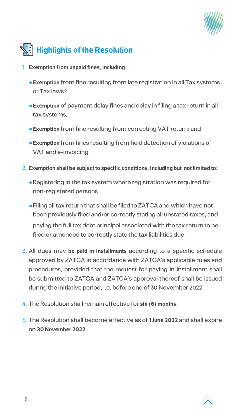





- **1. Exemption from unpaid fines, including:** 
	- **Exemption** from fine resulting from late registration in all Tax systems or Tax laws?
	- **Exemption** of payment delay fines and delay in filing a tax return in all tax systems;
	- **Exemption** from fine resulting from correcting VAT return; and
	- $\bullet$  **Exemption** from fines resulting from field detection of violations of VAT and e-invoicing.
- **2. Exemption shall be subject to specific conditions, including but not limited to:** 
	- Registering in the tax system where registration was required for non-registered persons.
	- Filing all tax return that shall be filed to ZATCA and which have not been previously filed and/or correctly stating all unstated taxes, and paying the full tax debt principal associated with the tax return to be filed or amended to correctly state the tax liabilities due.
- 3. All dues may be paid in installments according to a specific schedule approved by ZATCA in accordance with ZATCA's applicable rules and procedures, provided that the request for paying in installment shall be submitted to ZATCA and ZATCA's approval thereof shall be issued during the initiative period, i.e. before end of 30 November 2022.
- 4. The Resolution shall remain effective for six (6) months.
- 5. The Resolution shall become effective as of 1 June 2022 and shall expire **2022. November 30** on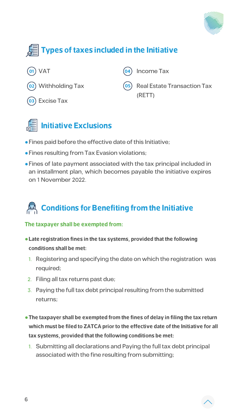







- Fines paid before the effective date of this Initiative;
- Fines resulting from Tax Evasion violations;
- Fines of late payment associated with the tax principal included in an installment plan, which becomes payable the initiative expires on 1 November 2022.

## **Conditions for Benefiting from the Initiative**

#### **The taxpayer shall be exempted from:**

- **Late registration fines in the tax systems, provided that the following** conditions shall be met:
	- 1. Registering and specifying the date on which the registration was required;
- 2. Filing all tax returns past due;
- 3. Paying the full tax debt principal resulting from the submitted returns;
- **The taxpayer shall be exempted from the fines of delay in filing the tax return** which must be filed to ZATCA prior to the effective date of the Initiative for all tax systems, provided that the following conditions be met:
	- 1. Submitting all declarations and Paying the full tax debt principal associated with the fine resulting from submitting;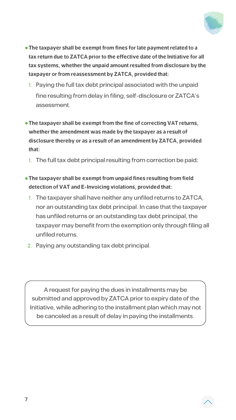

- **The taxpayer shall be exempt from fines for late payment related to a** tax return due to ZATCA prior to the effective date of the Initiative for all tax systems, whether the unpaid amount resulted from disclosure by the taxpayer or from reassessment by ZATCA, provided that:
	- 1. Paying the full tax debt principal associated with the unpaid fine resulting from delay in filing, self-disclosure or ZATCA's .assessment
- **The taxpayer shall be exempt from the fine of correcting VAT returns,** whether the amendment was made by the taxpayer as a result of disclosure thereby or as a result of an amendment by ZATCA, provided **:that**
	- 1. The full tax debt principal resulting from correction be paid;
- **The taxpayer shall be exempt from unpaid fines resulting from field** detection of VAT and E-Invoicing violations, provided that:
- 1. The taxpayer shall have neither any unfiled returns to ZATCA, nor an outstanding tax debt principal. In case that the taxpayer has unfiled returns or an outstanding tax debt principal, the taxpayer may benefit from the exemption only through filing all unfiled returns.
- 2. Paying any outstanding tax debt principal.

A request for paying the dues in installments may be submitted and approved by ZATCA prior to expiry date of the Initiative, while adhering to the installment plan which may not be canceled as a result of delay in paying the installments.

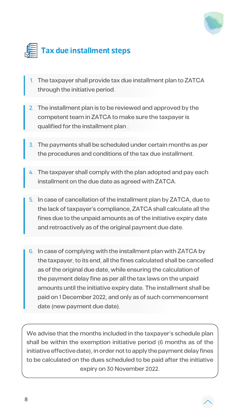





- The taxpayer shall provide tax due installment plan to ZATCA through the initiative period.
- The installment plan is to be reviewed and approved by the competent team in ZATCA to make sure the taxpayer is qualified for the installment plan.
- The payments shall be scheduled under certain months as per the procedures and conditions of the tax due installment.
- The taxpayer shall comply with the plan adopted and pay each installment on the due date as agreed with ZATCA.
- 5. In case of cancellation of the installment plan by ZATCA, due to the lack of taxpayer's compliance, ZATCA shall calculate all the fines due to the unpaid amounts as of the initiative expiry date and retroactively as of the original payment due date.
- 6. In case of complying with the installment plan with ZATCA by the taxpayer, to its end, all the fines calculated shall be cancelled as of the original due date, while ensuring the calculation of the payment delay fine as per all the tax laws on the unpaid amounts until the initiative expiry date. The installment shall be paid on 1 December 2022, and only as of such commencement date (new payment due date).

We advise that the months included in the taxpayer's schedule plan shall be within the exemption initiative period (6 months as of the initiative effective date), in order not to apply the payment delay fines to be calculated on the dues scheduled to be paid after the initiative expiry on 30 November 2022.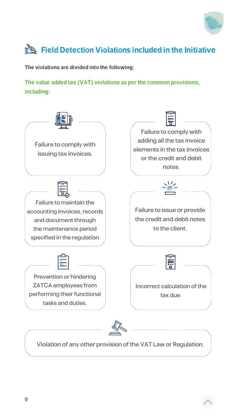

### **Field Detection Violations included in the Initiative**

The violations are divided into the following:



The value added tax (VAT) violations as per the common provisions, **:including**



**Failure to maintain the** accounting invoices, records and document through the maintenance period specified in the regulation

Failure to issue or provide the credit and debit notes to the client.



Prevention or hindering ZATCA employees from performing their functional tasks and duties.





Violation of any other provision of the VAT Law or Regulation.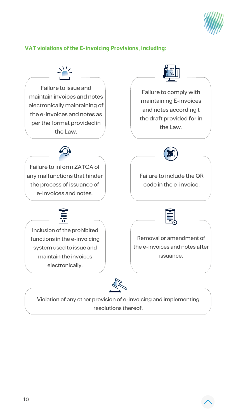

#### **VAT violations of the E-invoicing Provisions, including:**

**Failure to issue and** maintain invoices and notes electronically maintaining of the e-invoices and notes as per the format provided in the Law.

**10**

 $\sqrt{1/2}$ 



Failure to comply with maintaining E-invoices and notes according t the draft provided for in the Law.

**Failure to inform ZATCA of** any malfunctions that hinder the process of issuance of e-invoices and notes.





Inclusion of the prohibited functions in the e-invoicing system used to issue and maintain the invoices electronically.

Removal or amendment of the e-invoices and notes after issuance.



Violation of any other provision of e-invoicing and implementing

resolutions thereof.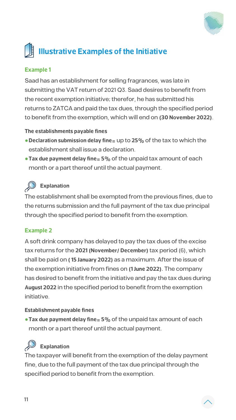

# **Illustrative Examples of the Initiative**

**11**

#### **1 Example**

Saad has an establishment for selling fragrances, was late in submitting the VAT return of 2021 Q3. Saad desires to benefit from the recent exemption initiative; therefor, he has submitted his returns to ZATCA and paid the tax dues, through the specified period to benefit from the exemption, which will end on (30 November 2022).

#### **The establishments payable fines**

- **Declaration submission delay fine** = up to 25% of the tax to which the establishment shall issue a declaration.
- **Tax due payment delay fine** = 5% of the unpaid tax amount of each month or a part thereof until the actual payment.



The establishment shall be exempted from the previous fines, due to the returns submission and the full payment of the tax due principal through the specified period to benefit from the exemption.

#### **2 Example**

A soft drink company has delayed to pay the tax dues of the excise tax returns for the 2021 (November/ December) tax period (6), which shall be paid on (15 January 2022) as a maximum. After the issue of the exemption initiative from fines on (1 June 2022). The company has desired to benefit from the initiative and pay the tax dues during August 2022 in the specified period to benefit from the exemption initiative.

#### **Establishment payable fines**

**• Tax due payment delay fine** = 5% of the unpaid tax amount of each month or a part thereof until the actual payment.



The taxpayer will benefit from the exemption of the delay payment fine, due to the full payment of the tax due principal through the specified period to benefit from the exemption.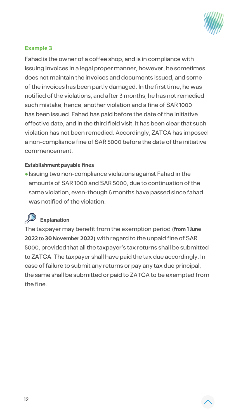**12**



#### **3 Example**

Fahad is the owner of a coffee shop, and is in compliance with issuing invoices in a legal proper manner, however, he sometimes does not maintain the invoices and documents issued, and some of the invoices has been partly damaged. In the first time, he was notified of the violations, and after 3 months, he has not remedied such mistake, hence, another violation and a fine of SAR 1000 has been issued. Fahad has paid before the date of the initiative effective date, and in the third field visit, it has been clear that such violation has not been remedied. Accordingly, ZATCA has imposed a non-compliance fine of SAR 5000 before the date of the initiative .commencement

#### **Establishment payable fines**

• Issuing two non-compliance violations against Fahad in the amounts of SAR 1000 and SAR 5000, due to continuation of the same violation, even-though 6 months have passed since fahad

was notified of the violation.



The taxpayer may benefit from the exemption period (from 1 June 2022 to 30 November 2022) with regard to the unpaid fine of SAR 5000, provided that all the taxpayer's tax returns shall be submitted to ZATCA. The taxpayer shall have paid the tax due accordingly. In case of failure to submit any returns or pay any tax due principal, the same shall be submitted or paid to ZATCA to be exempted from the fine.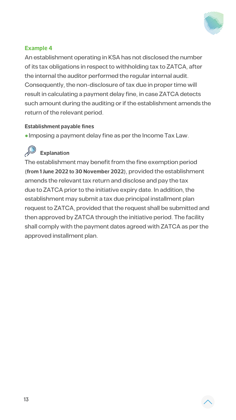**13**



#### **4 Example**

An establishment operating in KSA has not disclosed the number of its tax obligations in respect to withholding tax to ZATCA, after the internal the auditor performed the regular internal audit. Consequently, the non-disclosure of tax due in proper time will result in calculating a payment delay fine, in case ZATCA detects such amount during the auditing or if the establishment amends the return of the relevant period.

#### **Establishment payable fines**

• Imposing a payment delay fine as per the Income Tax Law.



The establishment may benefit from the fine exemption period (from 1 June 2022 to 30 November 2022), provided the establishment amends the relevant tax return and disclose and pay the tax due to ZATCA prior to the initiative expiry date. In addition, the establishment may submit a tax due principal installment plan request to ZATCA, provided that the request shall be submitted and then approved by ZATCA through the initiative period. The facility shall comply with the payment dates agreed with ZATCA as per the approved installment plan.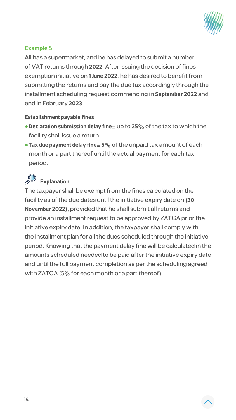**14**



#### **5 Example**

Ali has a supermarket, and he has delayed to submit a number of VAT returns through 2022. After issuing the decision of fines exemption initiative on 1 June 2022, he has desired to benefit from submitting the returns and pay the due tax accordingly through the installment scheduling request commencing in September 2022 and end in February 2023.

#### **Establishment payable fines**

- **Declaration submission delay fine** = up to 25% of the tax to which the facility shall issue a return.
- **Tax due payment delay fine** = 5% of the unpaid tax amount of each month or a part thereof until the actual payment for each tax period.



The taxpayer shall be exempt from the fines calculated on the

facility as of the due dates until the initiative expiry date on (30) November 2022), provided that he shall submit all returns and provide an installment request to be approved by ZATCA prior the initiative expiry date. In addition, the taxpayer shall comply with the installment plan for all the dues scheduled through the initiative period. Knowing that the payment delay fine will be calculated in the amounts scheduled needed to be paid after the initiative expiry date and until the full payment completion as per the scheduling agreed with ZATCA  $(5\%$  for each month or a part thereof).